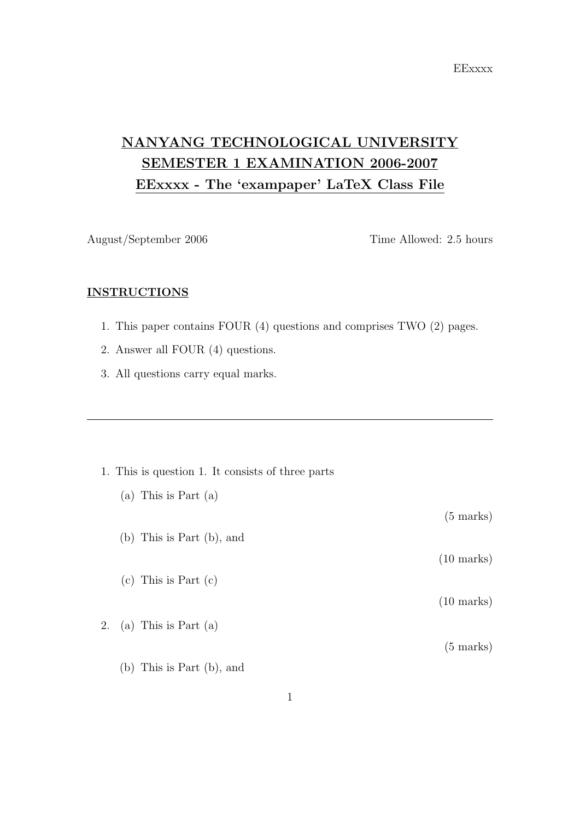**EExxxx** 

## NANYANG TECHNOLOGICAL UNIVERSITY SEMESTER 1 EXAMINATION 2006-2007 EExxxx - The 'exampaper' LaTeX Class File

August/September 2006 Time Allowed: 2.5 hours

(5 marks)

(10 marks)

(10 marks)

(5 marks)

## **INSTRUCTIONS**

- 1. This paper contains FOUR (4) questions and comprises TWO (2) pages.
- 2. Answer all FOUR (4) questions.
- 3. All questions carry equal marks.

|  | 1. This is question 1. It consists of three parts |  |  |  |
|--|---------------------------------------------------|--|--|--|
|  |                                                   |  |  |  |

- (a) This is Part (a)
- (b) This is Part (b), and
- (c) This is Part (c)
- 2. (a) This is Part (a)
	- (b) This is Part (b), and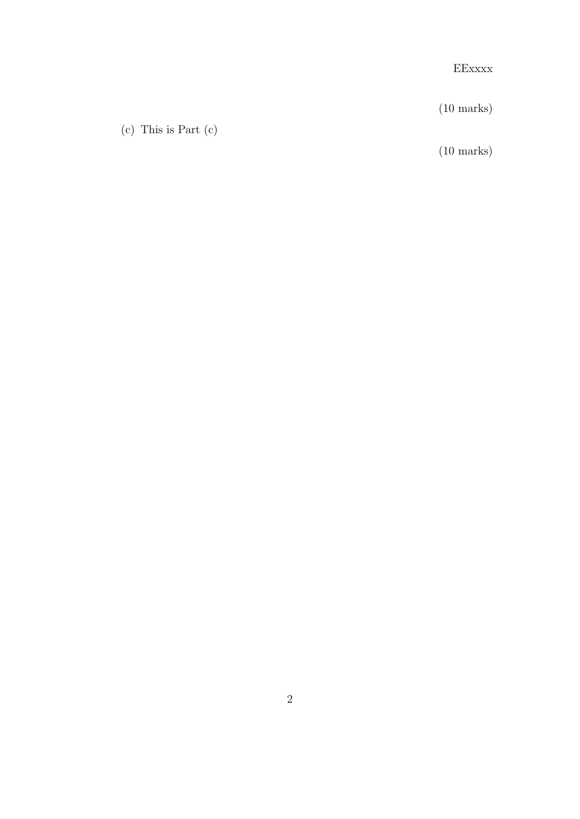EExxxx

 $(10 \text{ marks})$ 

(c) This is Part (c)

 $(10 \text{ marks})$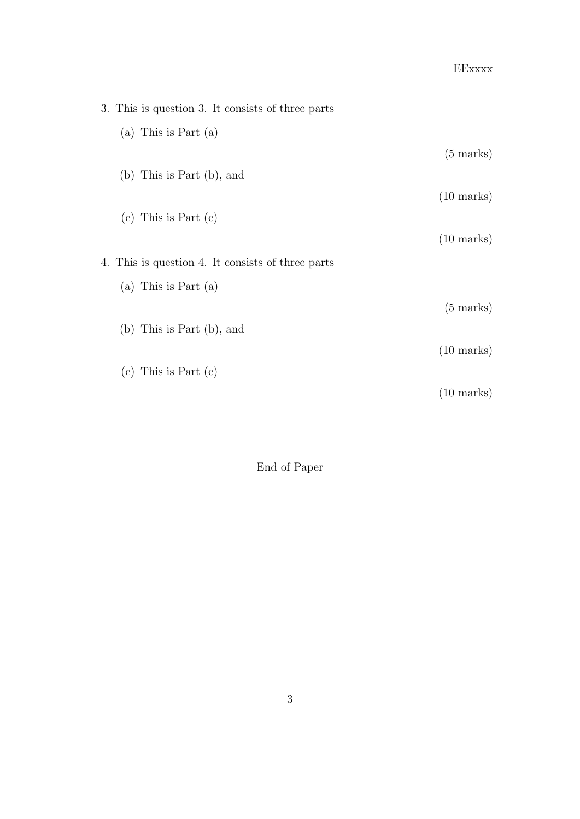## EExxxx

| 3. This is question 3. It consists of three parts |                      |
|---------------------------------------------------|----------------------|
| (a) This is Part $(a)$                            |                      |
|                                                   | $(5 \text{ marks})$  |
| $(b)$ This is Part $(b)$ , and                    |                      |
|                                                   | $(10 \text{ marks})$ |
| (c) This is Part $(c)$                            |                      |
|                                                   | $(10 \text{ marks})$ |
| 4. This is question 4. It consists of three parts |                      |
| (a) This is Part $(a)$                            |                      |
|                                                   | $(5 \text{ marks})$  |
| $(b)$ This is Part $(b)$ , and                    |                      |
|                                                   | $(10 \text{ marks})$ |
| $(c)$ This is Part $(c)$                          |                      |
|                                                   | $(10 \text{ marks})$ |

End of Paper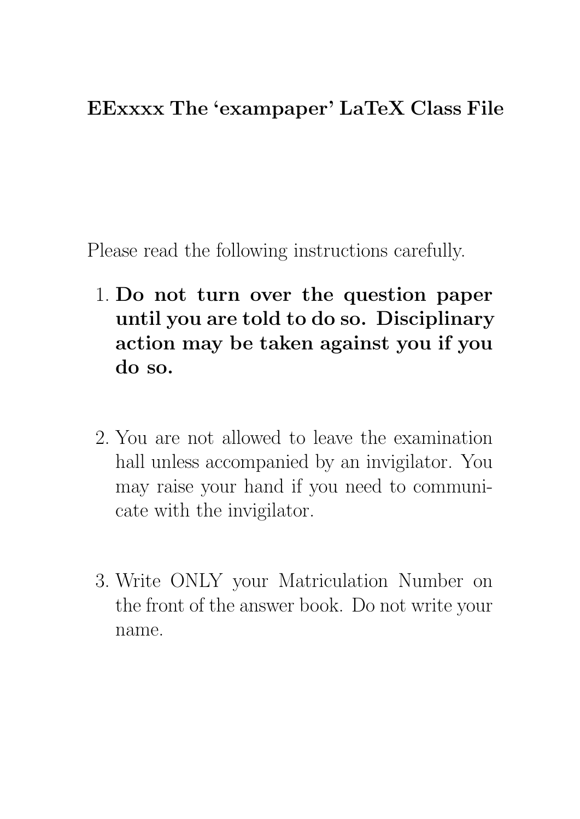## EExxxx The 'exampaper' LaTeX Class File

Please read the following instructions carefully.

- 1. Do not turn over the question paper until you are told to do so. Disciplinary action may be taken against you if you do so.
- 2. You are not allowed to leave the examination hall unless accompanied by an invigilator. You may raise your hand if you need to communicate with the invigilator.
- 3. Write ONLY your Matriculation Number on the front of the answer book. Do not write your name.